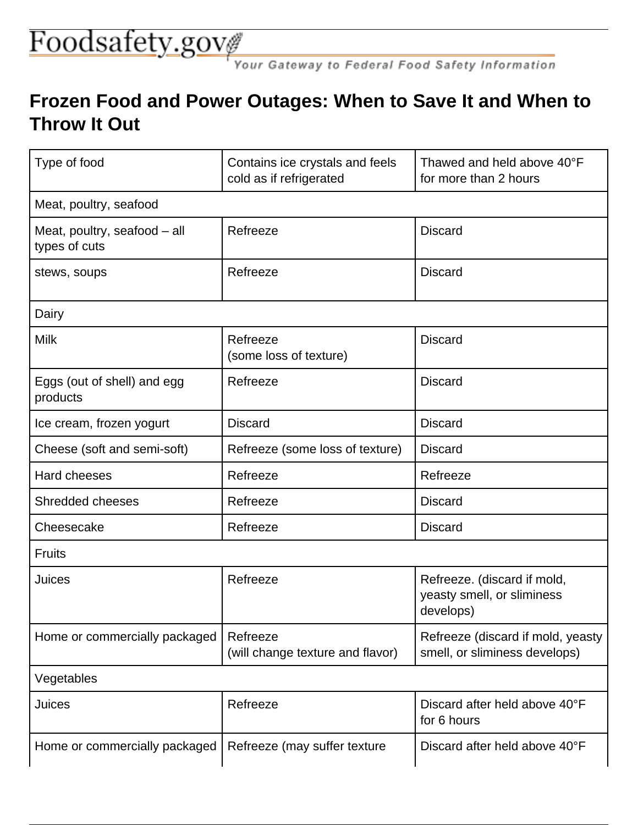## Foodsafety.gov

ダ<br>Your Gateway to Federal Food Safety Information

## **Frozen Food and Power Outages: When to Save It and When to Throw It Out**

| Type of food                                  | Contains ice crystals and feels<br>cold as if refrigerated | Thawed and held above 40°F<br>for more than 2 hours                    |  |
|-----------------------------------------------|------------------------------------------------------------|------------------------------------------------------------------------|--|
| Meat, poultry, seafood                        |                                                            |                                                                        |  |
| Meat, poultry, seafood - all<br>types of cuts | Refreeze                                                   | <b>Discard</b>                                                         |  |
| stews, soups                                  | Refreeze                                                   | <b>Discard</b>                                                         |  |
| Dairy                                         |                                                            |                                                                        |  |
| <b>Milk</b>                                   | Refreeze<br>(some loss of texture)                         | <b>Discard</b>                                                         |  |
| Eggs (out of shell) and egg<br>products       | Refreeze                                                   | <b>Discard</b>                                                         |  |
| Ice cream, frozen yogurt                      | <b>Discard</b>                                             | <b>Discard</b>                                                         |  |
| Cheese (soft and semi-soft)                   | Refreeze (some loss of texture)                            | <b>Discard</b>                                                         |  |
| Hard cheeses                                  | Refreeze                                                   | Refreeze                                                               |  |
| <b>Shredded cheeses</b>                       | Refreeze                                                   | <b>Discard</b>                                                         |  |
| Cheesecake                                    | Refreeze                                                   | <b>Discard</b>                                                         |  |
| <b>Fruits</b>                                 |                                                            |                                                                        |  |
| Juices                                        | Refreeze                                                   | Refreeze. (discard if mold,<br>yeasty smell, or sliminess<br>develops) |  |
| Home or commercially packaged                 | Refreeze<br>(will change texture and flavor)               | Refreeze (discard if mold, yeasty<br>smell, or sliminess develops)     |  |
| Vegetables                                    |                                                            |                                                                        |  |
| Juices                                        | Refreeze                                                   | Discard after held above 40°F<br>for 6 hours                           |  |
| Home or commercially packaged                 | Refreeze (may suffer texture                               | Discard after held above 40°F                                          |  |